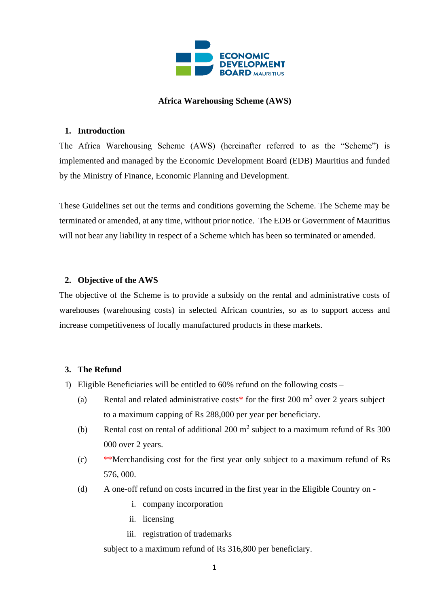

## **Africa Warehousing Scheme (AWS)**

## **1. Introduction**

The Africa Warehousing Scheme (AWS) (hereinafter referred to as the "Scheme") is implemented and managed by the Economic Development Board (EDB) Mauritius and funded by the Ministry of Finance, Economic Planning and Development.

These Guidelines set out the terms and conditions governing the Scheme. The Scheme may be terminated or amended, at any time, without prior notice. The EDB or Government of Mauritius will not bear any liability in respect of a Scheme which has been so terminated or amended.

### **2. Objective of the AWS**

The objective of the Scheme is to provide a subsidy on the rental and administrative costs of warehouses (warehousing costs) in selected African countries, so as to support access and increase competitiveness of locally manufactured products in these markets.

### **3. The Refund**

- 1) Eligible Beneficiaries will be entitled to 60% refund on the following costs
	- (a) Rental and related administrative costs\* for the first 200  $m<sup>2</sup>$  over 2 years subject to a maximum capping of Rs 288,000 per year per beneficiary.
	- (b) Rental cost on rental of additional 200  $m^2$  subject to a maximum refund of Rs 300 000 over 2 years.
	- (c) \*\*Merchandising cost for the first year only subject to a maximum refund of Rs 576, 000.
	- (d) A one-off refund on costs incurred in the first year in the Eligible Country on
		- i. company incorporation
		- ii. licensing
		- iii. registration of trademarks

subject to a maximum refund of Rs 316,800 per beneficiary.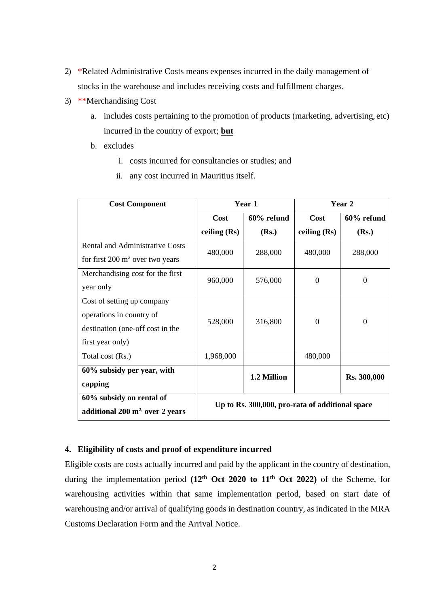- 2) \*Related Administrative Costs means expenses incurred in the daily management of stocks in the warehouse and includes receiving costs and fulfillment charges.
- 3) \*\*Merchandising Cost
	- a. includes costs pertaining to the promotion of products (marketing, advertising, etc) incurred in the country of export; **but**
	- b. excludes
		- i. costs incurred for consultancies or studies; and
		- ii. any cost incurred in Mauritius itself.

| <b>Cost Component</b>                      | Year 1                                          |             | Year 2         |                    |
|--------------------------------------------|-------------------------------------------------|-------------|----------------|--------------------|
|                                            | <b>Cost</b>                                     | 60% refund  | <b>Cost</b>    | $60\%$ refund      |
|                                            | ceiling $(Rs)$                                  | (Rs.)       | ceiling $(Rs)$ | (Rs.)              |
| <b>Rental and Administrative Costs</b>     | 480,000                                         | 288,000     | 480,000        | 288,000            |
| for first $200 \text{ m}^2$ over two years |                                                 |             |                |                    |
| Merchandising cost for the first           | 960,000                                         | 576,000     | 0              | $\overline{0}$     |
| year only                                  |                                                 |             |                |                    |
| Cost of setting up company                 |                                                 |             |                |                    |
| operations in country of                   | 528,000                                         | 316,800     | $\overline{0}$ | $\overline{0}$     |
| destination (one-off cost in the           |                                                 |             |                |                    |
| first year only)                           |                                                 |             |                |                    |
| Total cost (Rs.)                           | 1,968,000                                       |             | 480,000        |                    |
| 60% subsidy per year, with                 |                                                 | 1.2 Million |                | <b>Rs. 300,000</b> |
| capping                                    |                                                 |             |                |                    |
| 60% subsidy on rental of                   | Up to Rs. 300,000, pro-rata of additional space |             |                |                    |
| additional $200 \text{ m}^2$ over 2 years  |                                                 |             |                |                    |

# **4. Eligibility of costs and proof of expenditure incurred**

Eligible costs are costs actually incurred and paid by the applicant in the country of destination, during the implementation period **(12th Oct 2020 to 11th Oct 2022)** of the Scheme, for warehousing activities within that same implementation period, based on start date of warehousing and/or arrival of qualifying goods in destination country, as indicated in the MRA Customs Declaration Form and the Arrival Notice.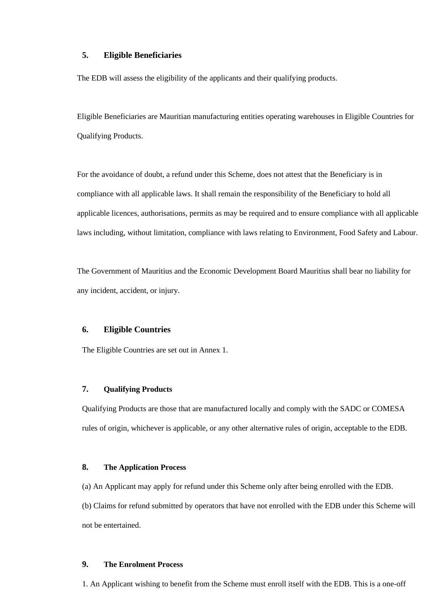### **5. Eligible Beneficiaries**

The EDB will assess the eligibility of the applicants and their qualifying products.

Eligible Beneficiaries are Mauritian manufacturing entities operating warehouses in Eligible Countries for Qualifying Products.

For the avoidance of doubt, a refund under this Scheme, does not attest that the Beneficiary is in compliance with all applicable laws. It shall remain the responsibility of the Beneficiary to hold all applicable licences, authorisations, permits as may be required and to ensure compliance with all applicable laws including, without limitation, compliance with laws relating to Environment, Food Safety and Labour.

The Government of Mauritius and the Economic Development Board Mauritius shall bear no liability for any incident, accident, or injury.

## **6. Eligible Countries**

The Eligible Countries are set out in Annex 1.

### **7. Qualifying Products**

Qualifying Products are those that are manufactured locally and comply with the SADC or COMESA rules of origin, whichever is applicable, or any other alternative rules of origin, acceptable to the EDB.

#### **8. The Application Process**

(a) An Applicant may apply for refund under this Scheme only after being enrolled with the EDB.

(b) Claims for refund submitted by operators that have not enrolled with the EDB under this Scheme will not be entertained.

#### **9. The Enrolment Process**

1. An Applicant wishing to benefit from the Scheme must enroll itself with the EDB. This is a one-off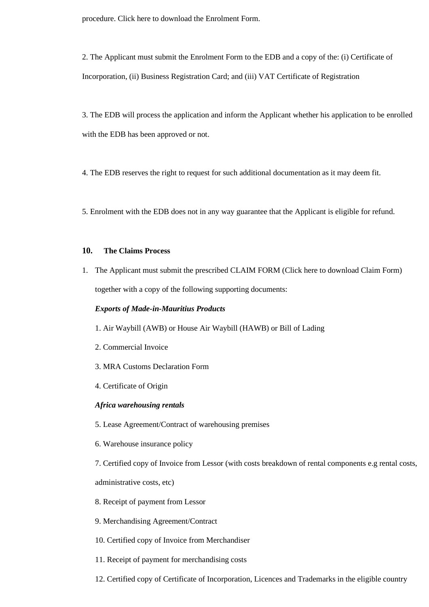procedure. Click here to download the Enrolment Form.

2. The Applicant must submit the Enrolment Form to the EDB and a copy of the: (i) Certificate of Incorporation, (ii) Business Registration Card; and (iii) VAT Certificate of Registration

3. The EDB will process the application and inform the Applicant whether his application to be enrolled with the EDB has been approved or not.

4. The EDB reserves the right to request for such additional documentation as it may deem fit.

5. Enrolment with the EDB does not in any way guarantee that the Applicant is eligible for refund.

### **10. The Claims Process**

1. The Applicant must submit the prescribed CLAIM FORM (Click here to download Claim Form) together with a copy of the following supporting documents:

#### *Exports of Made-in-Mauritius Products*

- 1. Air Waybill (AWB) or House Air Waybill (HAWB) or Bill of Lading
- 2. Commercial Invoice
- 3. MRA Customs Declaration Form
- 4. Certificate of Origin

#### *Africa warehousing rentals*

- 5. Lease Agreement/Contract of warehousing premises
- 6. Warehouse insurance policy

7. Certified copy of Invoice from Lessor (with costs breakdown of rental components e.g rental costs,

administrative costs, etc)

- 8. Receipt of payment from Lessor
- 9. Merchandising Agreement/Contract
- 10. Certified copy of Invoice from Merchandiser
- 11. Receipt of payment for merchandising costs
- 12. Certified copy of Certificate of Incorporation, Licences and Trademarks in the eligible country